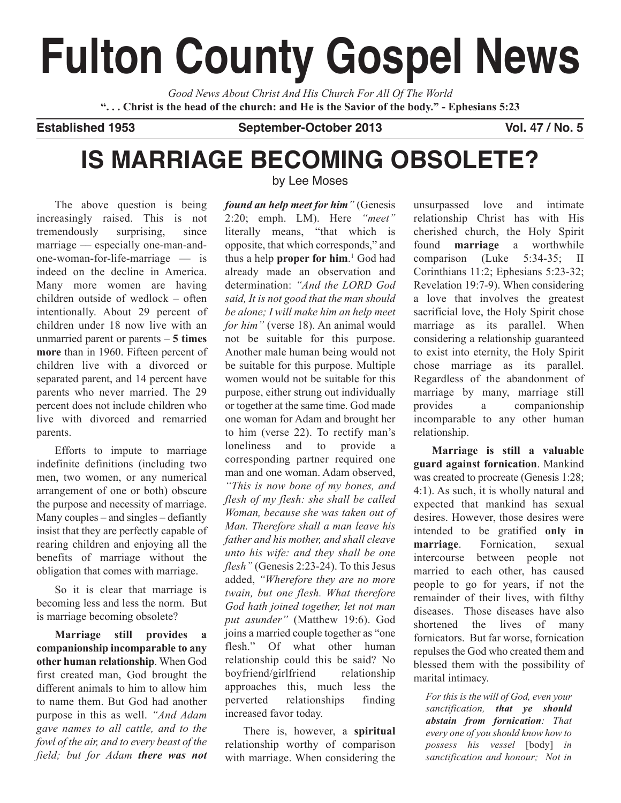# **Fulton County Gospel News**

*Good News About Christ And His Church For All Of The World* "... Christ is the head of the church: and He is the Savior of the body." - Ephesians 5:23

**Established 1953 September-October 2013 Vol. 47 / No. 5**

## **IS MARRIAGE BECOMING OBSOLETE?**

The above question is being increasingly raised. This is not tremendously surprising, since marriage –– especially one-man-andone-woman-for-life-marriage  $-$  is indeed on the decline in America. Many more women are having children outside of wedlock – often intentionally. About 29 percent of children under 18 now live with an unmarried parent or parents – **5 times more** than in 1960. Fifteen percent of children live with a divorced or separated parent, and 14 percent have parents who never married. The 29 percent does not include children who live with divorced and remarried parents.

Efforts to impute to marriage indefinite definitions (including two men, two women, or any numerical arrangement of one or both) obscure the purpose and necessity of marriage. Many couples – and singles – defiantly insist that they are perfectly capable of rearing children and enjoying all the benefits of marriage without the obligation that comes with marriage.

So it is clear that marriage is becoming less and less the norm. But is marriage becoming obsolete?

**Marriage still provides a companionship incomparable to any other human relationship**. When God first created man, God brought the different animals to him to allow him to name them. But God had another purpose in this as well. *"And Adam gave names to all cattle, and to the fowl of the air, and to every beast of the field; but for Adam there was not* by Lee Moses

*found an help meet for him"* (Genesis 2:20; emph. LM). Here *"meet"* literally means, "that which is opposite, that which corresponds," and thus a help **proper for him**. <sup>1</sup> God had already made an observation and determination: *"And the LORD God said, It is not good that the man should be alone; I will make him an help meet for him"* (verse 18). An animal would not be suitable for this purpose. Another male human being would not be suitable for this purpose. Multiple women would not be suitable for this purpose, either strung out individually or together at the same time. God made one woman for Adam and brought her to him (verse 22). To rectify man's loneliness and to provide a corresponding partner required one man and one woman. Adam observed, *"This is now bone of my bones, and flesh of my flesh: she shall be called Woman, because she was taken out of Man. Therefore shall a man leave his father and his mother, and shall cleave unto his wife: and they shall be one flesh"* (Genesis 2:23-24). To this Jesus added, *"Wherefore they are no more twain, but one flesh. What therefore God hath joined together, let not man put asunder"* (Matthew 19:6). God joins a married couple together as "one flesh." Of what other human relationship could this be said? No boyfriend/girlfriend relationship approaches this, much less the perverted relationships finding increased favor today.

There is, however, a **spiritual** relationship worthy of comparison with marriage. When considering the

unsurpassed love and intimate relationship Christ has with His cherished church, the Holy Spirit found **marriage** a worthwhile comparison (Luke 5:34-35; II Corinthians 11:2; Ephesians 5:23-32; Revelation 19:7-9). When considering a love that involves the greatest sacrificial love, the Holy Spirit chose marriage as its parallel. When considering a relationship guaranteed to exist into eternity, the Holy Spirit chose marriage as its parallel. Regardless of the abandonment of marriage by many, marriage still provides a companionship incomparable to any other human relationship.

**Marriage is still a valuable guard against fornication**. Mankind was created to procreate (Genesis 1:28; 4:1). As such, it is wholly natural and expected that mankind has sexual desires. However, those desires were intended to be gratified **only in marriage**. Fornication, sexual intercourse between people not married to each other, has caused people to go for years, if not the remainder of their lives, with filthy diseases. Those diseases have also shortened the lives of many fornicators. But far worse, fornication repulses the God who created them and blessed them with the possibility of marital intimacy.

*For this is the will of God, even your sanctification, that ye should abstain from fornication: That every one of you should know how to possess his vessel* [body] *in sanctification and honour; Not in*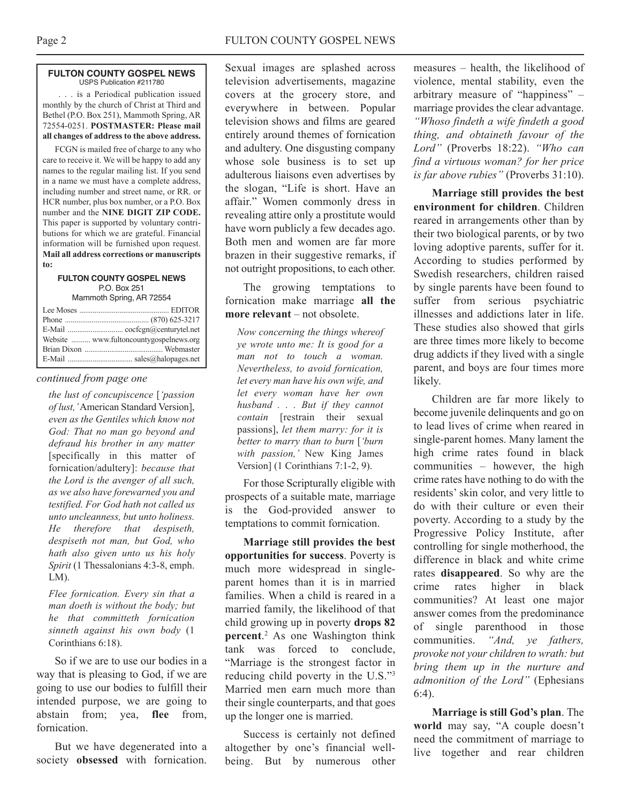#### **FULTON COUNTY GOSPEL NEWS** USPS Publication #211780

. . . is a Periodical publication issued monthly by the church of Christ at Third and Bethel (P.O. Box 251), Mammoth Spring, AR 72554-0251. **POSTMASTER: Please mail all changes of address to the above address.**

FCGN is mailed free of charge to any who care to receive it. We will be happy to add any names to the regular mailing list. If you send in a name we must have a complete address, including number and street name, or RR. or HCR number, plus box number, or a P.O. Box number and the **NINE DIGIT ZIP CODE.** This paper is supported by voluntary contributions for which we are grateful. Financial information will be furnished upon request. **Mail all address corrections or manuscripts to:**

#### **FULTON COUNTY GOSPEL NEWS** P.O. Box 251 Mammoth Spring, AR 72554

| Website  www.fultoncountygospelnews.org |
|-----------------------------------------|
|                                         |
|                                         |
|                                         |

#### *continued from page one*

*the lust of concupiscence* [*'passion of lust,'*American Standard Version], *even as the Gentiles which know not God: That no man go beyond and defraud his brother in any matter* [specifically in this matter of fornication/adultery]: *because that the Lord is the avenger of all such, as we also have forewarned you and testified. For God hath not called us unto uncleanness, but unto holiness. He therefore that despiseth, despiseth not man, but God, who hath also given unto us his holy Spirit* (1 Thessalonians 4:3-8, emph. LM).

*Flee fornication. Every sin that a man doeth is without the body; but he that committeth fornication sinneth against his own body* (1 Corinthians 6:18).

So if we are to use our bodies in a way that is pleasing to God, if we are going to use our bodies to fulfill their intended purpose, we are going to abstain from; yea, **flee** from, fornication.

But we have degenerated into a society **obsessed** with fornication.

Sexual images are splashed across television advertisements, magazine covers at the grocery store, and everywhere in between. Popular television shows and films are geared entirely around themes of fornication and adultery. One disgusting company whose sole business is to set up adulterous liaisons even advertises by the slogan, "Life is short. Have an affair." Women commonly dress in revealing attire only a prostitute would have worn publicly a few decades ago. Both men and women are far more brazen in their suggestive remarks, if not outright propositions, to each other.

The growing temptations to fornication make marriage **all the more relevant** – not obsolete.

*Now concerning the things whereof ye wrote unto me: It is good for a man not to touch a woman. Nevertheless, to avoid fornication, let every man have his own wife, and let every woman have her own husband . . . But if they cannot contain* [restrain their sexual passions], *let them marry: for it is better to marry than to burn* [*'burn with passion,'* New King James Version] (1 Corinthians 7:1-2, 9).

For those Scripturally eligible with prospects of a suitable mate, marriage is the God-provided answer to temptations to commit fornication.

**Marriage still provides the best opportunities for success**. Poverty is much more widespread in singleparent homes than it is in married families. When a child is reared in a married family, the likelihood of that child growing up in poverty **drops 82 percent**. <sup>2</sup> As one Washington think tank was forced to conclude, "Marriage is the strongest factor in reducing child poverty in the U.S."3 Married men earn much more than their single counterparts, and that goes up the longer one is married.

Success is certainly not defined altogether by one's financial wellbeing. But by numerous other

measures – health, the likelihood of violence, mental stability, even the arbitrary measure of "happiness" – marriage provides the clear advantage. *"Whoso findeth a wife findeth a good thing, and obtaineth favour of the Lord"* (Proverbs 18:22). *"Who can find a virtuous woman? for her price is far above rubies"* (Proverbs 31:10).

**Marriage still provides the best environment for children**. Children reared in arrangements other than by their two biological parents, or by two loving adoptive parents, suffer for it. According to studies performed by Swedish researchers, children raised by single parents have been found to suffer from serious psychiatric illnesses and addictions later in life. These studies also showed that girls are three times more likely to become drug addicts if they lived with a single parent, and boys are four times more likely.

Children are far more likely to become juvenile delinquents and go on to lead lives of crime when reared in single-parent homes. Many lament the high crime rates found in black communities – however, the high crime rates have nothing to do with the residents' skin color, and very little to do with their culture or even their poverty. According to a study by the Progressive Policy Institute, after controlling for single motherhood, the difference in black and white crime rates **disappeared**. So why are the crime rates higher in black communities? At least one major answer comes from the predominance of single parenthood in those communities. *"And, ye fathers, provoke not your children to wrath: but bring them up in the nurture and admonition of the Lord"* (Ephesians 6:4).

**Marriage is still God's plan**. The **world** may say, "A couple doesn't need the commitment of marriage to live together and rear children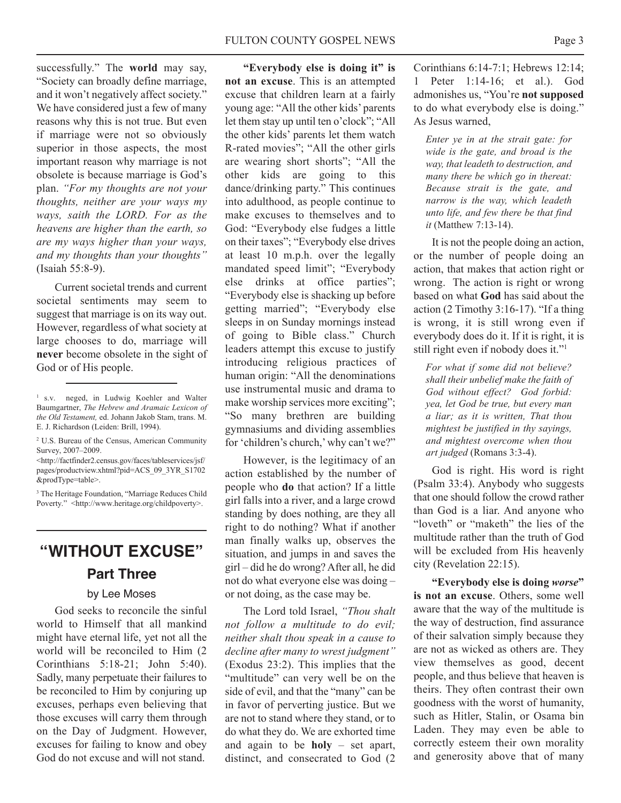successfully." The **world** may say, "Society can broadly define marriage, and it won't negatively affect society." We have considered just a few of many reasons why this is not true. But even if marriage were not so obviously superior in those aspects, the most important reason why marriage is not obsolete is because marriage is God's plan. *"For my thoughts are not your thoughts, neither are your ways my ways, saith the LORD. For as the heavens are higher than the earth, so are my ways higher than your ways, and my thoughts than your thoughts"* (Isaiah 55:8-9).

Current societal trends and current societal sentiments may seem to suggest that marriage is on its way out. However, regardless of what society at large chooses to do, marriage will **never** become obsolete in the sight of God or of His people.

<sup>2</sup> U.S. Bureau of the Census, American Community Survey, 2007–2009.

<http://factfinder2.census.gov/faces/tableservices/jsf/ pages/productview.xhtml?pid=ACS\_09\_3YR\_S1702 &prodType=table>.

<sup>3</sup> The Heritage Foundation, "Marriage Reduces Child Poverty." <http://www.heritage.org/childpoverty>.

### **"WITHOUT EXCUSE" Part Three**

#### by Lee Moses

God seeks to reconcile the sinful world to Himself that all mankind might have eternal life, yet not all the world will be reconciled to Him (2 Corinthians 5:18-21; John 5:40). Sadly, many perpetuate their failures to be reconciled to Him by conjuring up excuses, perhaps even believing that those excuses will carry them through on the Day of Judgment. However, excuses for failing to know and obey God do not excuse and will not stand.

**"Everybody else is doing it" is not an excuse**. This is an attempted excuse that children learn at a fairly young age: "All the other kids' parents let them stay up until ten o'clock"; "All the other kids' parents let them watch R-rated movies"; "All the other girls are wearing short shorts"; "All the other kids are going to this dance/drinking party." This continues into adulthood, as people continue to make excuses to themselves and to God: "Everybody else fudges a little on their taxes"; "Everybody else drives at least 10 m.p.h. over the legally mandated speed limit"; "Everybody else drinks at office parties"; "Everybody else is shacking up before getting married"; "Everybody else sleeps in on Sunday mornings instead of going to Bible class." Church leaders attempt this excuse to justify introducing religious practices of human origin: "All the denominations use instrumental music and drama to make worship services more exciting"; "So many brethren are building gymnasiums and dividing assemblies for 'children's church,'why can't we?"

However, is the legitimacy of an action established by the number of people who **do** that action? If a little girl falls into a river, and a large crowd standing by does nothing, are they all right to do nothing? What if another man finally walks up, observes the situation, and jumps in and saves the girl – did he do wrong? After all, he did not do what everyone else was doing – or not doing, as the case may be.

The Lord told Israel, *"Thou shalt not follow a multitude to do evil; neither shalt thou speak in a cause to decline after many to wrest judgment"* (Exodus 23:2). This implies that the "multitude" can very well be on the side of evil, and that the "many" can be in favor of perverting justice. But we are not to stand where they stand, or to do what they do. We are exhorted time and again to be **holy** – set apart, distinct, and consecrated to God (2 Corinthians 6:14-7:1; Hebrews 12:14; 1 Peter 1:14-16; et al.). God admonishes us, "You're **not supposed** to do what everybody else is doing." As Jesus warned,

*Enter ye in at the strait gate: for wide is the gate, and broad is the way, that leadeth to destruction, and many there be which go in thereat: Because strait is the gate, and narrow is the way, which leadeth unto life, and few there be that find it* (Matthew 7:13-14).

It is not the people doing an action, or the number of people doing an action, that makes that action right or wrong. The action is right or wrong based on what **God** has said about the action (2 Timothy 3:16-17). "If a thing is wrong, it is still wrong even if everybody does do it. If it is right, it is still right even if nobody does it."<sup>1</sup>

*For what if some did not believe? shall their unbelief make the faith of God without effect? God forbid: yea, let God be true, but every man a liar; as it is written, That thou mightest be justified in thy sayings, and mightest overcome when thou art judged* (Romans 3:3-4).

God is right. His word is right (Psalm 33:4). Anybody who suggests that one should follow the crowd rather than God is a liar. And anyone who "loveth" or "maketh" the lies of the multitude rather than the truth of God will be excluded from His heavenly city (Revelation 22:15).

**"Everybody else is doing** *worse***" is not an excuse**. Others, some well aware that the way of the multitude is the way of destruction, find assurance of their salvation simply because they are not as wicked as others are. They view themselves as good, decent people, and thus believe that heaven is theirs. They often contrast their own goodness with the worst of humanity, such as Hitler, Stalin, or Osama bin Laden. They may even be able to correctly esteem their own morality and generosity above that of many

<sup>1</sup> s.v. neged, in Ludwig Koehler and Walter Baumgartner, *The Hebrew and Aramaic Lexicon of the Old Testament,* ed. Johann Jakob Stam, trans. M. E. J. Richardson (Leiden: Brill, 1994).